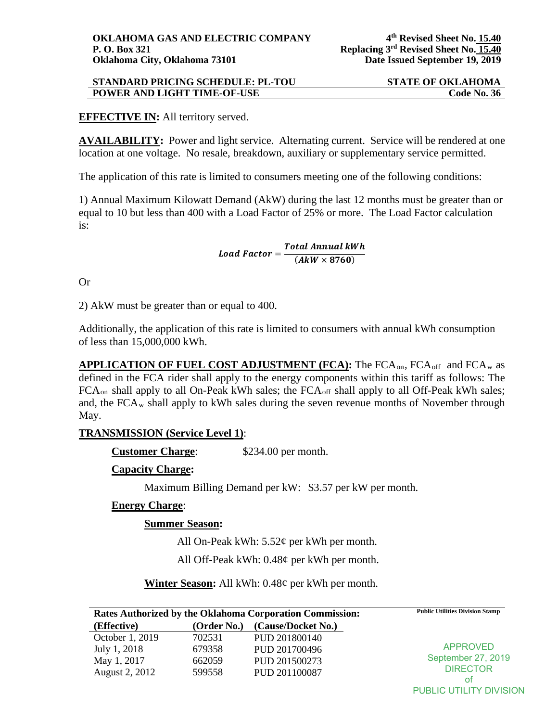# **EFFECTIVE IN:** All territory served.

**AVAILABILITY:** Power and light service. Alternating current. Service will be rendered at one location at one voltage. No resale, breakdown, auxiliary or supplementary service permitted.

The application of this rate is limited to consumers meeting one of the following conditions:

1) Annual Maximum Kilowatt Demand (AkW) during the last 12 months must be greater than or equal to 10 but less than 400 with a Load Factor of 25% or more. The Load Factor calculation is:

 $\small \textit{Load Factor} = \frac{\textit{Total Annual kWh}}{(\textit{AkW} \times 8760)}$ 

Or

2) AkW must be greater than or equal to 400.

Additionally, the application of this rate is limited to consumers with annual kWh consumption of less than 15,000,000 kWh.

**APPLICATION OF FUEL COST ADJUSTMENT (FCA):** The FCA<sub>on</sub>, FCA<sub>off</sub> and FCA<sub>w</sub> as defined in the FCA rider shall apply to the energy components within this tariff as follows: The FCA<sub>on</sub> shall apply to all On-Peak kWh sales; the FCA<sub>off</sub> shall apply to all Off-Peak kWh sales; and, the  $FCA_w$  shall apply to kWh sales during the seven revenue months of November through May.

## **TRANSMISSION (Service Level 1)**:

**Customer Charge:** \$234.00 per month.

#### **Capacity Charge:**

Maximum Billing Demand per kW: \$3.57 per kW per month.

#### **Energy Charge**:

#### **Summer Season:**

All On-Peak kWh: 5.52¢ per kWh per month.

All Off-Peak kWh: 0.48¢ per kWh per month.

**Winter Season:** All kWh: 0.48¢ per kWh per month.

| <b>Rates Authorized by the Oklahoma Corporation Commission:</b> |             |                    | <b>Public Utilities Division Stamp</b> |
|-----------------------------------------------------------------|-------------|--------------------|----------------------------------------|
| (Effective)                                                     | (Order No.) | (Cause/Docket No.) |                                        |
| October 1, 2019                                                 | 702531      | PUD 201800140      | <b>APPROVED</b><br>September 27, 2019  |
| July 1, 2018                                                    | 679358      | PUD 201700496      |                                        |
| May 1, 2017                                                     | 662059      | PUD 201500273      |                                        |
| August 2, 2012                                                  | 599558      | PUD 201100087      | <b>DIRECTOR</b>                        |
|                                                                 |             |                    | οt                                     |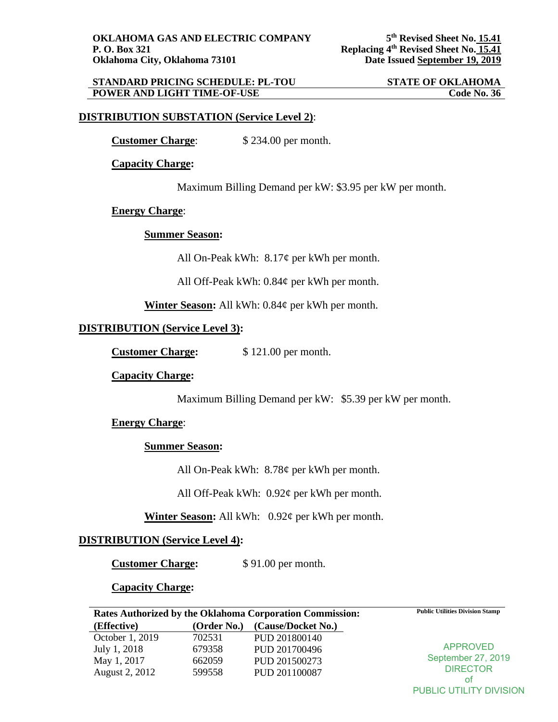### **DISTRIBUTION SUBSTATION (Service Level 2)**:

**Customer Charge**: \$ 234.00 per month.

**Capacity Charge:**

Maximum Billing Demand per kW: \$3.95 per kW per month.

#### **Energy Charge**:

#### **Summer Season:**

All On-Peak kWh:  $8.17¢$  per kWh per month.

All Off-Peak kWh: 0.84¢ per kWh per month.

**Winter Season:** All kWh: 0.84¢ per kWh per month.

## **DISTRIBUTION (Service Level 3):**

**Customer Charge:** \$ 121.00 per month.

## **Capacity Charge:**

Maximum Billing Demand per kW: \$5.39 per kW per month.

## **Energy Charge**:

## **Summer Season:**

All On-Peak kWh: 8.78¢ per kWh per month.

All Off-Peak kWh: 0.92¢ per kWh per month.

**Winter Season:** All kWh: 0.92¢ per kWh per month.

## **DISTRIBUTION (Service Level 4):**

**Customer Charge:** \$ 91.00 per month.

**Capacity Charge:**

| <b>Rates Authorized by the Oklahoma Corporation Commission:</b> |             |                    | <b>Public Utilities Division Stamp</b> |
|-----------------------------------------------------------------|-------------|--------------------|----------------------------------------|
| (Effective)                                                     | (Order No.) | (Cause/Docket No.) |                                        |
| October 1, 2019                                                 | 702531      | PUD 201800140      | APPROVED<br>September 27, 2019         |
| July 1, 2018                                                    | 679358      | PUD 201700496      |                                        |
| May 1, 2017                                                     | 662059      | PUD 201500273      |                                        |
| August 2, 2012                                                  | 599558      | PUD 201100087      | <b>DIRECTOR</b>                        |
|                                                                 |             |                    | Ωt                                     |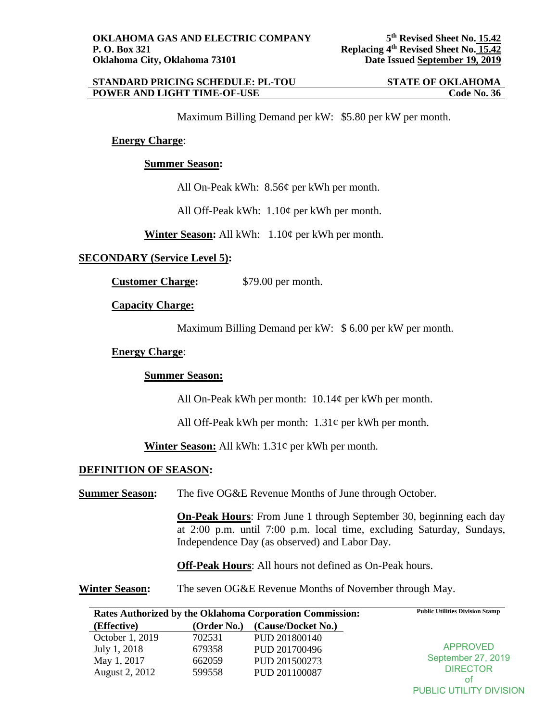#### **STANDARD PRICING SCHEDULE: PL-TOU STATE OF OKLAHOMA<br>
POWER AND LIGHT TIME-OF-USE Code No. 36 POWER AND LIGHT TIME-OF-USE**

Maximum Billing Demand per kW: \$5.80 per kW per month.

### **Energy Charge**:

#### **Summer Season:**

All On-Peak kWh: 8.56¢ per kWh per month.

All Off-Peak kWh: 1.10¢ per kWh per month.

**Winter Season:** All kWh: 1.10¢ per kWh per month.

## **SECONDARY (Service Level 5):**

**Customer Charge:** \$79.00 per month.

**Capacity Charge:**

Maximum Billing Demand per kW: \$ 6.00 per kW per month.

#### **Energy Charge**:

#### **Summer Season:**

All On-Peak kWh per month: 10.14¢ per kWh per month.

All Off-Peak kWh per month:  $1.31¢$  per kWh per month.

**Winter Season:** All kWh: 1.31¢ per kWh per month.

## **DEFINITION OF SEASON:**

**Summer Season:** The five OG&E Revenue Months of June through October.

**On-Peak Hours**: From June 1 through September 30, beginning each day at 2:00 p.m. until 7:00 p.m. local time, excluding Saturday, Sundays, Independence Day (as observed) and Labor Day.

**Off-Peak Hours**: All hours not defined as On-Peak hours.

**Winter Season:** The seven OG&E Revenue Months of November through May.

| Rates Authorized by the Oklahoma Corporation Commission: |             |                    | <b>Public Utilities Division Stamp</b> |
|----------------------------------------------------------|-------------|--------------------|----------------------------------------|
| (Effective)                                              | (Order No.) | (Cause/Docket No.) |                                        |
| October 1, 2019                                          | 702531      | PUD 201800140      | <b>APPROVED</b><br>September 27, 2019  |
| July 1, 2018                                             | 679358      | PUD 201700496      |                                        |
| May 1, 2017                                              | 662059      | PUD 201500273      |                                        |
| August 2, 2012                                           | 599558      | PUD 201100087      | <b>DIRECTOR</b>                        |
|                                                          |             |                    | οt                                     |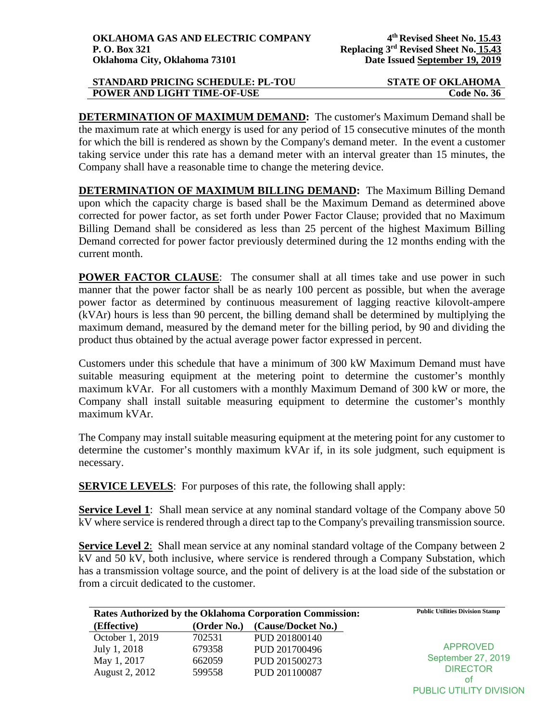**DETERMINATION OF MAXIMUM DEMAND:** The customer's Maximum Demand shall be the maximum rate at which energy is used for any period of 15 consecutive minutes of the month for which the bill is rendered as shown by the Company's demand meter. In the event a customer taking service under this rate has a demand meter with an interval greater than 15 minutes, the Company shall have a reasonable time to change the metering device.

**DETERMINATION OF MAXIMUM BILLING DEMAND:** The Maximum Billing Demand upon which the capacity charge is based shall be the Maximum Demand as determined above corrected for power factor, as set forth under Power Factor Clause; provided that no Maximum Billing Demand shall be considered as less than 25 percent of the highest Maximum Billing Demand corrected for power factor previously determined during the 12 months ending with the current month.

**POWER FACTOR CLAUSE:** The consumer shall at all times take and use power in such manner that the power factor shall be as nearly 100 percent as possible, but when the average power factor as determined by continuous measurement of lagging reactive kilovolt-ampere (kVAr) hours is less than 90 percent, the billing demand shall be determined by multiplying the maximum demand, measured by the demand meter for the billing period, by 90 and dividing the product thus obtained by the actual average power factor expressed in percent.

Customers under this schedule that have a minimum of 300 kW Maximum Demand must have suitable measuring equipment at the metering point to determine the customer's monthly maximum kVAr. For all customers with a monthly Maximum Demand of 300 kW or more, the Company shall install suitable measuring equipment to determine the customer's monthly maximum kVAr.

The Company may install suitable measuring equipment at the metering point for any customer to determine the customer's monthly maximum kVAr if, in its sole judgment, such equipment is necessary.

**SERVICE LEVELS:** For purposes of this rate, the following shall apply:

**Service Level 1:** Shall mean service at any nominal standard voltage of the Company above 50 kV where service is rendered through a direct tap to the Company's prevailing transmission source.

**Service Level 2:** Shall mean service at any nominal standard voltage of the Company between 2 kV and 50 kV, both inclusive, where service is rendered through a Company Substation, which has a transmission voltage source, and the point of delivery is at the load side of the substation or from a circuit dedicated to the customer.

| <b>Rates Authorized by the Oklahoma Corporation Commission:</b> |             |                    | <b>Public Utilities Division Stamp</b> |
|-----------------------------------------------------------------|-------------|--------------------|----------------------------------------|
| (Effective)                                                     | (Order No.) | (Cause/Docket No.) |                                        |
| October 1, 2019                                                 | 702531      | PUD 201800140      | <b>APPROVED</b>                        |
| July 1, 2018                                                    | 679358      | PUD 201700496      |                                        |
| May 1, 2017                                                     | 662059      | PUD 201500273      | September 27, 2019                     |
| August 2, 2012                                                  | 599558      | PUD 201100087      | <b>DIRECTOR</b>                        |
|                                                                 |             |                    | οt                                     |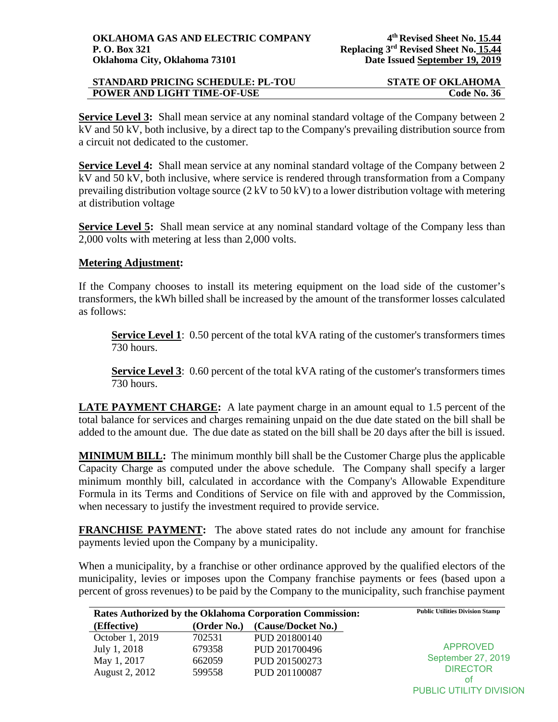**Service Level 3:** Shall mean service at any nominal standard voltage of the Company between 2 kV and 50 kV, both inclusive, by a direct tap to the Company's prevailing distribution source from a circuit not dedicated to the customer.

**Service Level 4:** Shall mean service at any nominal standard voltage of the Company between 2 kV and 50 kV, both inclusive, where service is rendered through transformation from a Company prevailing distribution voltage source (2 kV to 50 kV) to a lower distribution voltage with metering at distribution voltage

**Service Level 5:** Shall mean service at any nominal standard voltage of the Company less than 2,000 volts with metering at less than 2,000 volts.

# **Metering Adjustment:**

If the Company chooses to install its metering equipment on the load side of the customer's transformers, the kWh billed shall be increased by the amount of the transformer losses calculated as follows:

**Service Level 1**: 0.50 percent of the total kVA rating of the customer's transformers times 730 hours.

**Service Level 3:** 0.60 percent of the total kVA rating of the customer's transformers times 730 hours.

**LATE PAYMENT CHARGE:** A late payment charge in an amount equal to 1.5 percent of the total balance for services and charges remaining unpaid on the due date stated on the bill shall be added to the amount due. The due date as stated on the bill shall be 20 days after the bill is issued.

**MINIMUM BILL:** The minimum monthly bill shall be the Customer Charge plus the applicable Capacity Charge as computed under the above schedule. The Company shall specify a larger minimum monthly bill, calculated in accordance with the Company's Allowable Expenditure Formula in its Terms and Conditions of Service on file with and approved by the Commission, when necessary to justify the investment required to provide service.

**FRANCHISE PAYMENT:** The above stated rates do not include any amount for franchise payments levied upon the Company by a municipality.

When a municipality, by a franchise or other ordinance approved by the qualified electors of the municipality, levies or imposes upon the Company franchise payments or fees (based upon a percent of gross revenues) to be paid by the Company to the municipality, such franchise payment

| Rates Authorized by the Oklahoma Corporation Commission: |             |                    | <b>Public Utilities Division Stamp</b> |
|----------------------------------------------------------|-------------|--------------------|----------------------------------------|
| (Effective)                                              | (Order No.) | (Cause/Docket No.) |                                        |
| October 1, 2019                                          | 702531      | PUD 201800140      | <b>APPROVED</b>                        |
| July 1, 2018                                             | 679358      | PUD 201700496      |                                        |
| May 1, 2017                                              | 662059      | PUD 201500273      | September 27, 2019                     |
| August 2, 2012                                           | 599558      | PUD 201100087      | <b>DIRECTOR</b>                        |
|                                                          |             |                    | ot                                     |